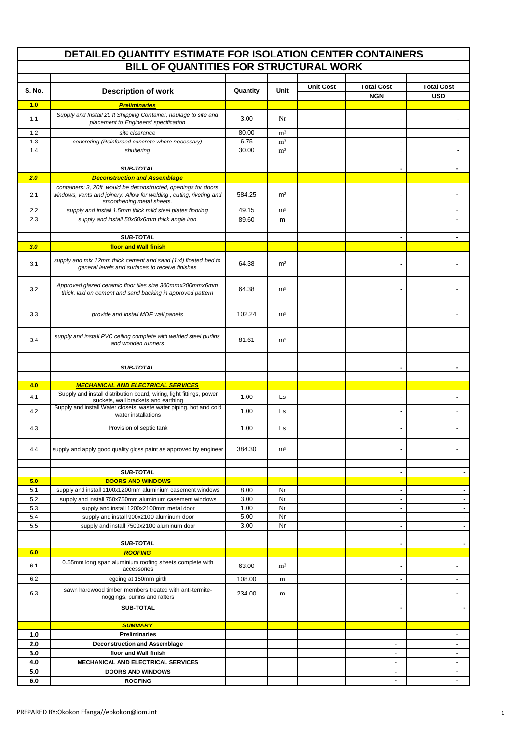|               | DETAILED QUANTITY ESTIMATE FOR ISOLATION CENTER CONTAINERS                                                                            |          |                |                  |                          |                          |
|---------------|---------------------------------------------------------------------------------------------------------------------------------------|----------|----------------|------------------|--------------------------|--------------------------|
|               | BILL OF QUANTITIES FOR STRUCTURAL WORK                                                                                                |          |                |                  |                          |                          |
|               |                                                                                                                                       |          |                |                  |                          |                          |
| <b>S. No.</b> | <b>Description of work</b>                                                                                                            | Quantity | Unit           | <b>Unit Cost</b> | <b>Total Cost</b>        | <b>Total Cost</b>        |
|               |                                                                                                                                       |          |                |                  | <b>NGN</b>               | <b>USD</b>               |
| 1.0           | <b>Preliminaries</b>                                                                                                                  |          |                |                  |                          |                          |
| 1.1           | Supply and Install 20 ft Shipping Container, haulage to site and                                                                      | 3.00     | Nr             |                  |                          | $\overline{\phantom{a}}$ |
|               | placement to Engineers' specification                                                                                                 |          |                |                  |                          |                          |
| 1.2           | site clearance                                                                                                                        | 80.00    | m <sup>2</sup> |                  | $\blacksquare$           | $\overline{\phantom{a}}$ |
| 1.3           | concreting (Reinforced concrete where necessary)                                                                                      | 6.75     | m <sup>3</sup> |                  | $\overline{\phantom{a}}$ | $\overline{\phantom{a}}$ |
| 1.4           | shuttering                                                                                                                            | 30.00    | m <sup>2</sup> |                  | $\blacksquare$           | $\overline{\phantom{a}}$ |
|               |                                                                                                                                       |          |                |                  |                          |                          |
| 2.0           | <b>SUB-TOTAL</b>                                                                                                                      |          |                |                  | ٠                        | $\blacksquare$           |
|               | <b>Deconstruction and Assemblage</b>                                                                                                  |          |                |                  |                          |                          |
| 2.1           | containers: 3, 20ft would be deconstructed, openings for doors<br>windows, vents and joinery. Allow for welding, cuting, riveting and | 584.25   | m <sup>2</sup> |                  |                          |                          |
|               | smoothening metal sheets.                                                                                                             |          |                |                  |                          |                          |
| 2.2           | supply and install 1.5mm thick mild steel plates flooring                                                                             | 49.15    | m <sup>2</sup> |                  |                          |                          |
| 2.3           | supply and install 50x50x6mm thick angle iron                                                                                         | 89.60    | m              |                  | $\blacksquare$           | $\sim$                   |
|               |                                                                                                                                       |          |                |                  |                          |                          |
|               | SUB-TOTAL                                                                                                                             |          |                |                  | ٠                        | $\blacksquare$           |
| 3.0           | floor and Wall finish                                                                                                                 |          |                |                  |                          |                          |
|               | supply and mix 12mm thick cement and sand (1:4) floated bed to                                                                        |          |                |                  |                          |                          |
| 3.1           | general levels and surfaces to receive finishes                                                                                       | 64.38    | m <sup>2</sup> |                  |                          |                          |
|               |                                                                                                                                       |          |                |                  |                          |                          |
|               | Approved glazed ceramic floor tiles size 300mmx200mmx6mm                                                                              |          |                |                  |                          |                          |
| 3.2           | thick, laid on cement and sand backing in approved pattern                                                                            | 64.38    | m <sup>2</sup> |                  |                          |                          |
|               |                                                                                                                                       |          |                |                  |                          |                          |
| 3.3           | provide and install MDF wall panels                                                                                                   | 102.24   | m <sup>2</sup> |                  | $\overline{a}$           |                          |
|               |                                                                                                                                       |          |                |                  |                          |                          |
|               |                                                                                                                                       |          |                |                  |                          |                          |
| 3.4           | supply and install PVC ceiling complete with welded steel purlins                                                                     | 81.61    | m <sup>2</sup> |                  | $\overline{a}$           |                          |
|               | and wooden runners                                                                                                                    |          |                |                  |                          |                          |
|               |                                                                                                                                       |          |                |                  |                          |                          |
|               | <b>SUB-TOTAL</b>                                                                                                                      |          |                |                  | ٠                        | $\overline{\phantom{a}}$ |
|               |                                                                                                                                       |          |                |                  |                          |                          |
| 4.0           | <b>MECHANICAL AND ELECTRICAL SERVICES</b>                                                                                             |          |                |                  |                          |                          |
| 4.1           | Supply and install distribution board, wiring, light fittings, power                                                                  | 1.00     | Ls             |                  | $\overline{\phantom{0}}$ |                          |
|               | suckets, wall brackets and earthing<br>Supply and install Water closets, waste water piping, hot and cold                             |          |                |                  |                          |                          |
| 4.2           | water installations                                                                                                                   | 1.00     | Ls             |                  |                          | ٠                        |
| 4.3           | Provision of septic tank                                                                                                              | 1.00     |                |                  | $\overline{\phantom{0}}$ |                          |
|               |                                                                                                                                       |          | Ls.            |                  |                          |                          |
|               |                                                                                                                                       |          |                |                  |                          |                          |
| 4.4           | supply and apply good quality gloss paint as approved by engineer                                                                     | 384.30   | m <sup>2</sup> |                  |                          |                          |
|               |                                                                                                                                       |          |                |                  |                          |                          |
|               | SUB-TOTAL                                                                                                                             |          |                |                  | $\blacksquare$           | $\blacksquare$           |
| 5.0           | <b>DOORS AND WINDOWS</b>                                                                                                              |          |                |                  |                          |                          |
| 5.1           | supply and install 1100x1200mm aluminium casement windows                                                                             | 8.00     | Nr             |                  | $\overline{\phantom{a}}$ |                          |
| 5.2           | supply and install 750x750mm aluminium casement windows                                                                               | 3.00     | Nr             |                  | $\overline{\phantom{a}}$ | $\blacksquare$           |
| 5.3           | supply and install 1200x2100mm metal door                                                                                             | 1.00     | Nr             |                  | $\overline{\phantom{a}}$ | $\overline{\phantom{a}}$ |
| 5.4           | supply and install 900x2100 aluminum door                                                                                             | 5.00     | Nr             |                  | $\blacksquare$           |                          |
| 5.5           | supply and install 7500x2100 aluminum door                                                                                            | 3.00     | Nr             |                  | $\overline{\phantom{a}}$ |                          |
|               |                                                                                                                                       |          |                |                  |                          |                          |
|               | SUB-TOTAL                                                                                                                             |          |                |                  | ٠                        | ٠                        |
| 6.0           | <b>ROOFING</b>                                                                                                                        |          |                |                  |                          |                          |
| 6.1           | 0.55mm long span aluminium roofing sheets complete with                                                                               | 63.00    | m <sup>2</sup> |                  | $\overline{\phantom{0}}$ |                          |
|               | accessories                                                                                                                           |          |                |                  |                          |                          |
| 6.2           | egding at 150mm girth                                                                                                                 | 108.00   | m              |                  | $\overline{\phantom{a}}$ | $\blacksquare$           |
| 6.3           | sawn hardwood timber members treated with anti-termite-                                                                               | 234.00   | m              |                  | $\overline{\phantom{0}}$ |                          |
|               | noggings, purlins and rafters                                                                                                         |          |                |                  |                          |                          |
|               | <b>SUB-TOTAL</b>                                                                                                                      |          |                |                  | $\blacksquare$           | $\sim$                   |
|               |                                                                                                                                       |          |                |                  |                          |                          |
|               | <b>SUMMARY</b>                                                                                                                        |          |                |                  |                          |                          |
| 1.0           | <b>Preliminaries</b>                                                                                                                  |          |                |                  |                          | $\blacksquare$           |
| 2.0           | <b>Deconstruction and Assemblage</b>                                                                                                  |          |                |                  | $\overline{\phantom{a}}$ | $\blacksquare$           |
| 3.0           | floor and Wall finish                                                                                                                 |          |                |                  | $\overline{\phantom{a}}$ | $\blacksquare$           |
| 4.0           | MECHANICAL AND ELECTRICAL SERVICES                                                                                                    |          |                |                  | $\overline{\phantom{a}}$ | $\blacksquare$           |
| 5.0           | <b>DOORS AND WINDOWS</b>                                                                                                              |          |                |                  | $\blacksquare$           | $\blacksquare$           |
| $6.0\,$       | <b>ROOFING</b>                                                                                                                        |          |                |                  |                          |                          |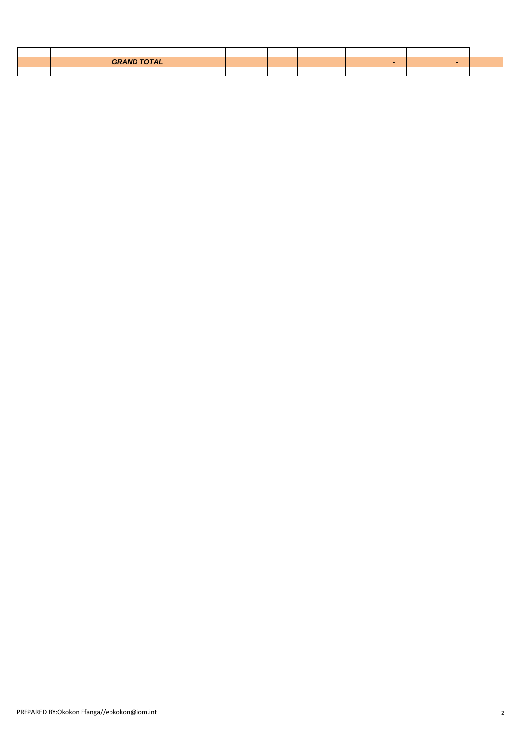| <b>GRAND TOTAL</b> |  |  |  |
|--------------------|--|--|--|
|                    |  |  |  |